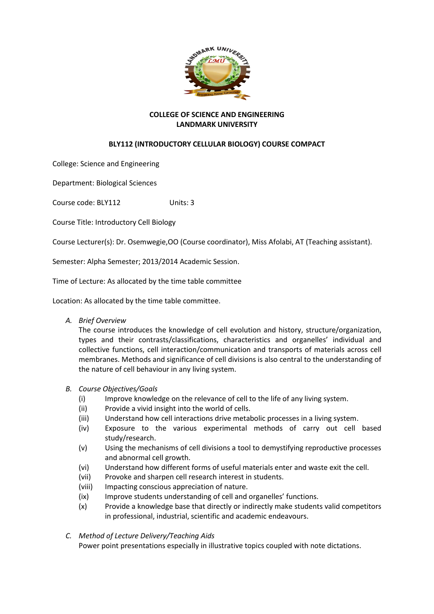

## **COLLEGE OF SCIENCE AND ENGINEERING LANDMARK UNIVERSITY**

# **BLY112 (INTRODUCTORY CELLULAR BIOLOGY) COURSE COMPACT**

College: Science and Engineering

Department: Biological Sciences

Course code: BLY112 Units: 3

Course Title: Introductory Cell Biology

Course Lecturer(s): Dr. Osemwegie,OO (Course coordinator), Miss Afolabi, AT (Teaching assistant).

Semester: Alpha Semester; 2013/2014 Academic Session.

Time of Lecture: As allocated by the time table committee

Location: As allocated by the time table committee.

*A. Brief Overview*

The course introduces the knowledge of cell evolution and history, structure/organization, types and their contrasts/classifications, characteristics and organelles' individual and collective functions, cell interaction/communication and transports of materials across cell membranes. Methods and significance of cell divisions is also central to the understanding of the nature of cell behaviour in any living system.

### *B. Course Objectives/Goals*

- (i) Improve knowledge on the relevance of cell to the life of any living system.
- (ii) Provide a vivid insight into the world of cells.
- (iii) Understand how cell interactions drive metabolic processes in a living system.
- (iv) Exposure to the various experimental methods of carry out cell based study/research.
- (v) Using the mechanisms of cell divisions a tool to demystifying reproductive processes and abnormal cell growth.
- (vi) Understand how different forms of useful materials enter and waste exit the cell.
- (vii) Provoke and sharpen cell research interest in students.
- (viii) Impacting conscious appreciation of nature.
- (ix) Improve students understanding of cell and organelles' functions.
- (x) Provide a knowledge base that directly or indirectly make students valid competitors in professional, industrial, scientific and academic endeavours.

### *C. Method of Lecture Delivery/Teaching Aids*

Power point presentations especially in illustrative topics coupled with note dictations.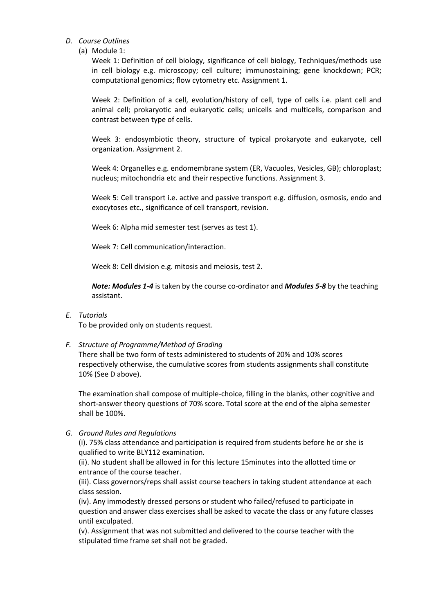### *D. Course Outlines*

(a) Module 1:

Week 1: Definition of cell biology, significance of cell biology, Techniques/methods use in cell biology e.g. microscopy; cell culture; immunostaining; gene knockdown; PCR; computational genomics; flow cytometry etc. Assignment 1.

Week 2: Definition of a cell, evolution/history of cell, type of cells i.e. plant cell and animal cell; prokaryotic and eukaryotic cells; unicells and multicells, comparison and contrast between type of cells.

Week 3: endosymbiotic theory, structure of typical prokaryote and eukaryote, cell organization. Assignment 2.

Week 4: Organelles e.g. endomembrane system (ER, Vacuoles, Vesicles, GB); chloroplast; nucleus; mitochondria etc and their respective functions. Assignment 3.

Week 5: Cell transport i.e. active and passive transport e.g. diffusion, osmosis, endo and exocytoses etc., significance of cell transport, revision.

Week 6: Alpha mid semester test (serves as test 1).

Week 7: Cell communication/interaction.

Week 8: Cell division e.g. mitosis and meiosis, test 2.

*Note: Modules 1-4* is taken by the course co-ordinator and *Modules 5-8* by the teaching assistant.

### *E. Tutorials*

To be provided only on students request.

#### *F. Structure of Programme/Method of Grading*

There shall be two form of tests administered to students of 20% and 10% scores respectively otherwise, the cumulative scores from students assignments shall constitute 10% (See D above).

The examination shall compose of multiple-choice, filling in the blanks, other cognitive and short-answer theory questions of 70% score. Total score at the end of the alpha semester shall be 100%.

#### *G. Ground Rules and Regulations*

(i). 75% class attendance and participation is required from students before he or she is qualified to write BLY112 examination.

(ii). No student shall be allowed in for this lecture 15minutes into the allotted time or entrance of the course teacher.

(iii). Class governors/reps shall assist course teachers in taking student attendance at each class session.

(iv). Any immodestly dressed persons or student who failed/refused to participate in question and answer class exercises shall be asked to vacate the class or any future classes until exculpated.

(v). Assignment that was not submitted and delivered to the course teacher with the stipulated time frame set shall not be graded.